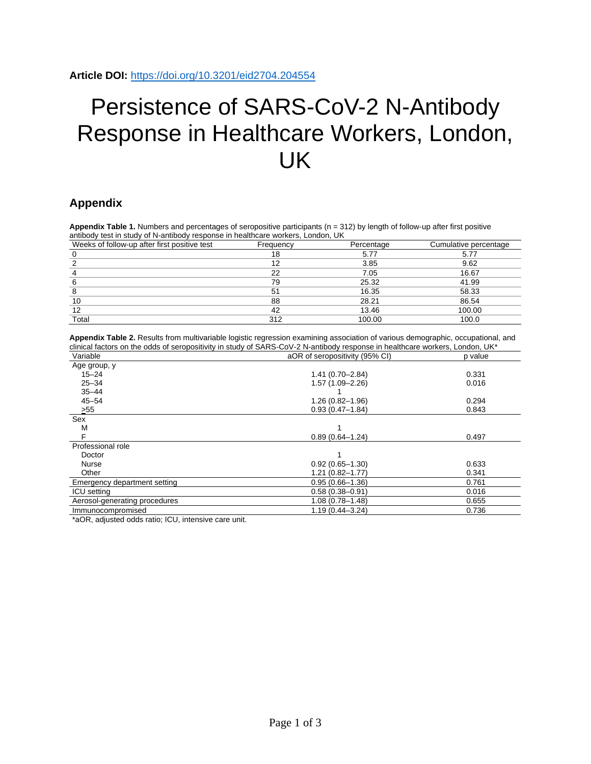## Persistence of SARS-CoV-2 N-Antibody Response in Healthcare Workers, London, UK

## **Appendix**

Appendix Table 1. Numbers and percentages of seropositive participants (n = 312) by length of follow-up after first positive antibody test in study of N-antibody response in healthcare workers, London, UK

| Weeks of follow-up after first positive test | Frequency | Percentage | Cumulative percentage |
|----------------------------------------------|-----------|------------|-----------------------|
|                                              | 18        | 5.77       | 5.77                  |
|                                              | 12        | 3.85       | 9.62                  |
|                                              | 22        | 7.05       | 16.67                 |
|                                              | 79        | 25.32      | 41.99                 |
|                                              | 51        | 16.35      | 58.33                 |
| 10                                           | 88        | 28.21      | 86.54                 |
| 12                                           | 42        | 13.46      | 100.00                |
| Total                                        | 312       | 100.00     | 100.0                 |

**Appendix Table 2.** Results from multivariable logistic regression examining association of various demographic, occupational, and clinical factors on the odds of seropositivity in study of SARS-CoV-2 N-antibody response in healthcare workers, London, UK\*

| Variable                      | aOR of seropositivity (95% CI) | p value |  |
|-------------------------------|--------------------------------|---------|--|
| Age group, y                  |                                |         |  |
| $15 - 24$                     | $1.41(0.70 - 2.84)$            | 0.331   |  |
| $25 - 34$                     | $1.57(1.09 - 2.26)$            | 0.016   |  |
| $35 - 44$                     |                                |         |  |
| $45 - 54$                     | $1.26(0.82 - 1.96)$            | 0.294   |  |
| >55                           | $0.93(0.47 - 1.84)$            | 0.843   |  |
| Sex                           |                                |         |  |
| M                             |                                |         |  |
| F                             | $0.89(0.64 - 1.24)$            | 0.497   |  |
| Professional role             |                                |         |  |
| Doctor                        |                                |         |  |
| <b>Nurse</b>                  | $0.92(0.65 - 1.30)$            | 0.633   |  |
| Other                         | $1.21(0.82 - 1.77)$            | 0.341   |  |
| Emergency department setting  | $0.95(0.66 - 1.36)$            | 0.761   |  |
| <b>ICU</b> setting            | $0.58(0.38 - 0.91)$            | 0.016   |  |
| Aerosol-generating procedures | $1.08(0.78 - 1.48)$            | 0.655   |  |
| Immunocompromised             | $1.19(0.44 - 3.24)$            | 0.736   |  |

\*aOR, adjusted odds ratio; ICU, intensive care unit.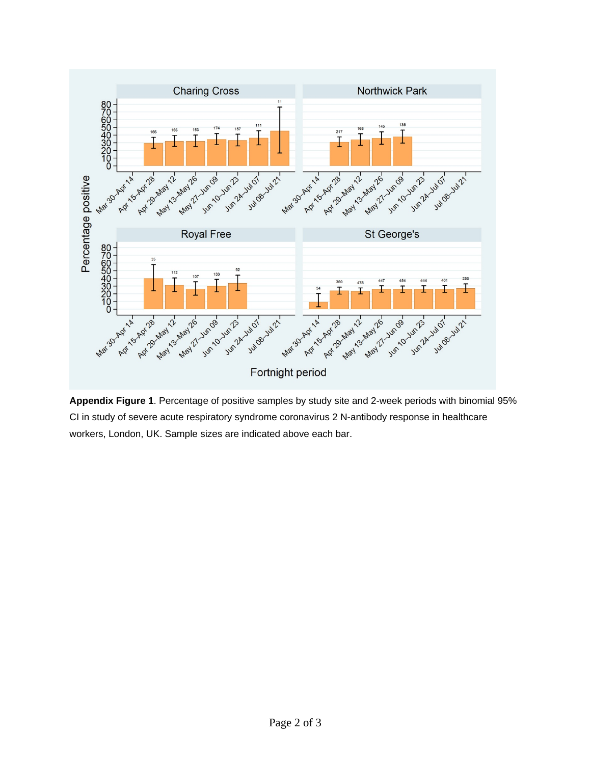

**Appendix Figure 1**. Percentage of positive samples by study site and 2-week periods with binomial 95% CI in study of severe acute respiratory syndrome coronavirus 2 N-antibody response in healthcare workers, London, UK. Sample sizes are indicated above each bar.